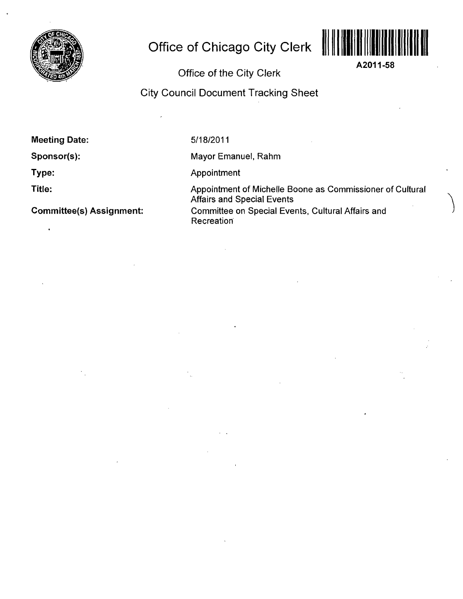

# **Office of Chicago City Clerk**



**A2011-58** 

Office of the City Clerk

City Council Document Tracking Sheet

**Meeting Date:** 

**Sponsor(s):** 

**Type:** 

**Title:** 

**Committee(s) Assignment:** 

5/18/2011

Mayor Emanuel, Rahm

Appointment

Appointment of Michelle Boone as Commissioner of Cultural Affairs and Special Events Committee on Special Events, Cultural Affairs and **Recreation**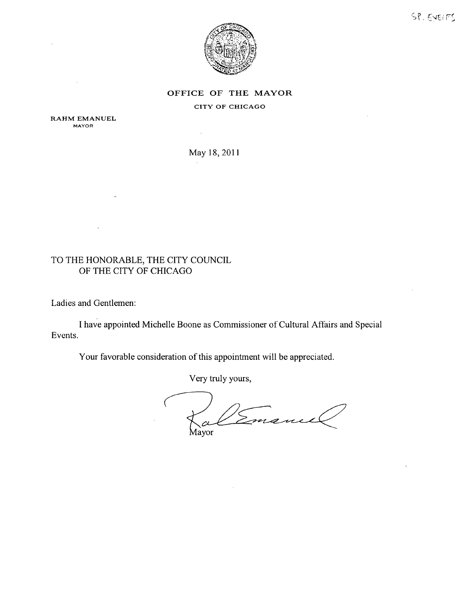



## OFFICE OF THE MAYOR

#### CITY OF CHICAGO

RAHM EMANUEL MAYOR

May 18,2011

 $\sim$ 

## TO THE HONORABLE, THE CITY COUNCIL OF THE CITY OF CHICAGO

Ladies and Gentlemen:

Events. I have appointed Michelle Boone as Commissioner of Cultural Affairs and Special

Your favorable consideration of this appointment will be appreciated.

Very truly yours,

Emane  $\alpha$ layor